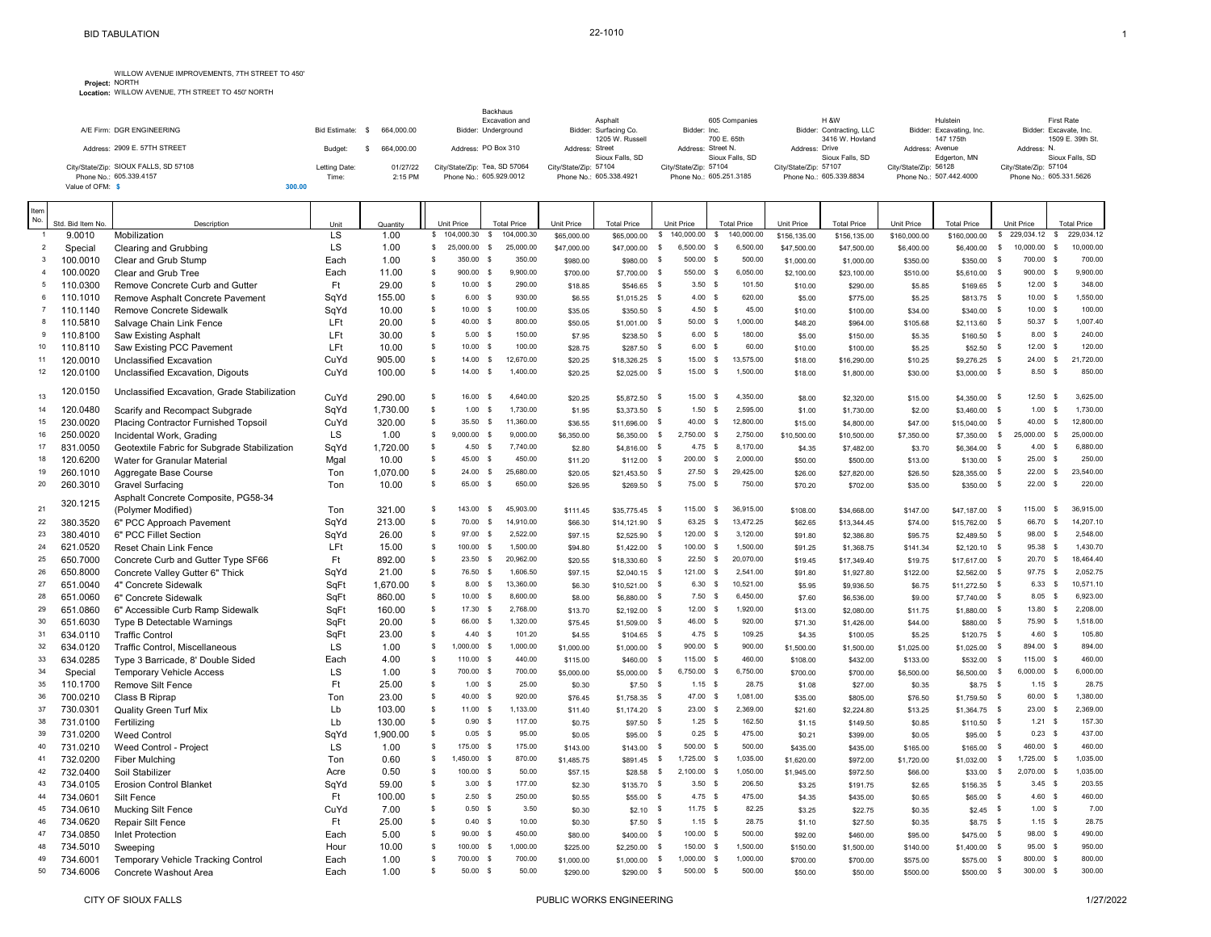**Project:** WILLOW AVENUE IMPROVEMENTS, 7TH STREET TO 450' NORTH **Location:** WILLOW AVENUE, 7TH STREET TO 450' NORTH

|                                       |                      |            | Backhaus<br>Excavation and    | Asphalt                 | 605 Companies           | <b>H &amp;W</b>          | Hulstein                 | First Rate              |
|---------------------------------------|----------------------|------------|-------------------------------|-------------------------|-------------------------|--------------------------|--------------------------|-------------------------|
| A/F Firm: DGR ENGINEERING             | <b>Bid Estimate:</b> | 664.000.00 | Bidder: Underground           | Bidder: Surfacing Co.   | Bidder: Inc.            | Bidder: Contracting, LLC | Bidder: Excavating, Inc. | Bidder: Excavate, Inc.  |
|                                       |                      |            |                               | 1205 W. Russell         | 700 E. 65th             | 3416 W. Hovland          | 147 175th                | 1509 E. 39th St.        |
| Address: 2909 E. 57TH STREET          | Budget               | 664.000.00 | Address: PO Box 310           | Address: Street         | Address: Street N.      | Address: Drive           | Address: Avenue          | Address: N.             |
|                                       |                      |            |                               | Sioux Falls, SD         | Sioux Falls, SD         | Sioux Falls, SD          | Edgerton, MN             | Sioux Falls, SD         |
| City/State/Zip: SIOUX FALLS, SD 57108 | Letting Date:        | 01/27/22   | City/State/Zip: Tea, SD 57064 | City/State/Zip: 57104   | City/State/Zip: 57104   | City/State/Zip: 57107    | City/State/Zip: 56128    | City/State/Zip: 57104   |
| Phone No.: 605.339.4157               | Time:                | 2:15 PM    | Phone No.: 605.929.0012       | Phone No.: 605.338.4921 | Phone No.: 605.251.3185 | Phone No.: 605.339.8834  | Phone No.: 507.442.4000  | Phone No.: 605.331.5626 |
| Value of OFM: S                       | 300.00               |            |                               |                         |                         |                          |                          |                         |

| Item<br>No.    |                      |                                              |            |                 |                      |                        |                                          |                     |                        |                              |                            |                              |                     |                        |                     |                        |                           |                                           |                           |
|----------------|----------------------|----------------------------------------------|------------|-----------------|----------------------|------------------------|------------------------------------------|---------------------|------------------------|------------------------------|----------------------------|------------------------------|---------------------|------------------------|---------------------|------------------------|---------------------------|-------------------------------------------|---------------------------|
|                | Std. Bid Item No.    | Description                                  | Unit       | Quantity        |                      | Unit Price             | <b>Total Price</b>                       | Unit Price          | <b>Total Price</b>     |                              | <b>Unit Price</b>          | <b>Total Price</b>           | <b>Unit Price</b>   | <b>Total Price</b>     | <b>Unit Price</b>   | <b>Total Price</b>     |                           | Unit Price                                | <b>Total Price</b>        |
|                | 9.0010               | Mobilization                                 | LS         | 1.00            | s                    | 104,000.30             | 104,000.30<br>\$                         | \$65,000.00         | \$65,000.00            | s                            | 140,000.00                 | 140,000.00<br>-S             | \$156,135.00        | \$156,135.00           | \$160,000.00        | \$160,000.00           | \$                        | 229,034.12                                | 229,034.12<br>-S          |
| $\overline{2}$ | Special              | Clearing and Grubbing                        | LS         | 1.00            | s                    | 25,000.00              | \$<br>25,000.00                          | \$47,000.00         | \$47,000.00            | -S                           | 6,500.00                   | 6,500.00<br>s                | \$47,500.00         | \$47,500.00            | \$6,400.00          | \$6,400.00             | s                         | 10,000.00                                 | 10,000.00<br>- \$         |
| 3              | 100.0010             | Clear and Grub Stump                         | Each       | 1.00            | s                    | 350.00                 | 350.00<br>\$                             | \$980.00            | \$980.00               | - S                          | 500.00 \$                  | 500.00                       | \$1,000.00          | \$1,000.00             | \$350.00            | \$350.00               | - \$                      | 700.00<br>- S                             | 700.00                    |
| $\overline{4}$ | 100.0020             | Clear and Grub Tree                          | Each       | 11.00           | s                    | 900.00                 | 9,900.00<br>s                            | \$700.00            | \$7,700.00             | - S                          | 550.00 \$                  | 6,050.00                     | \$2,100.00          | \$23,100.00            | \$510.00            | \$5,610.00             | $\mathsf{s}$              | 900.00                                    | 9,900.00<br>\$            |
| 5              | 110.0300             | Remove Concrete Curb and Gutter              | Ft         | 29.00           | \$                   | 10.00                  | 290.00<br>S.                             | \$18.85             | $$546.65$ \$           |                              | $3.50$ \$                  | 101.50                       | \$10.00             | \$290.00               | \$5.85              | $$169.65$ \$           |                           | 12.00<br>- S                              | 348.00                    |
| 6              | 110.1010             | Remove Asphalt Concrete Pavement             | SqYd       | 155.00          | $\mathbb{S}$         | 6.00                   | 930.00<br>$\mathbf{s}$                   | \$6.55              | $$1,015.25$ \$         |                              | $4.00$ \$                  | 620.00                       | \$5.00              | \$775.00               | \$5.25              | \$813.75               | - S                       | 10.00                                     | 1,550.00<br>\$            |
| $\overline{7}$ | 110.1140             | Remove Concrete Sidewalk                     | SqYd       | 10.00           | \$                   | 10.00                  | 100.00<br>- \$                           | \$35.05             | \$350.50               | - \$                         | $4.50$ \$                  | 45.00                        | \$10.00             | \$100.00               | \$34.00             | \$340.00               | s                         | 10.00                                     | 100.00<br>-S              |
| 8<br>9         | 110.5810             | Salvage Chain Link Fence                     | LFt        | 20.00           | \$<br>$$\mathbb{S}$$ | 40.00 \$               | 800.00<br>$\mathbf{s}$                   | \$50.05             | \$1,001.00             | - \$                         | 50.00 \$                   | 1,000.00<br>180.00           | \$48.20             | \$964.00               | \$105.68            | \$2,113.60 \$          |                           | 50.37<br>- S                              | 1,007.40<br>\$<br>240.00  |
| 10             | 110.8100             | Saw Existing Asphalt                         | LFt        | 30.00           | \$                   | 5.00<br>10.00          | 150.00<br>100.00<br>$\mathbf{s}$         | \$7.95              | \$238.50               | $\mathsf{s}$<br>$\mathsf{s}$ | $6.00$ \$<br>6.00          | 60.00<br>\$                  | \$5.00              | \$150.00               | \$5.35              | \$160.50               | $\mathbf{\hat{s}}$<br>- s | 8.00<br>12.00                             | 120.00<br><b>s</b>        |
|                | 110.8110             | Saw Existing PCC Pavement                    | LFt        | 10.00<br>905.00 | \$                   |                        | 12,670.00                                | \$28.75             | \$287.50               | - S                          |                            | 13,575.00                    | \$10.00             | \$100.00               | \$5.25              | \$52.50                |                           |                                           | 21,720.00                 |
| 11             | 120.0010             | Unclassified Excavation                      | CuYd       |                 | \$                   | 14.00<br>14.00         | \$<br>1.400.00<br>- S                    | \$20.25             | \$18,326.25            |                              | 15.00<br>15.00             | - \$<br>1,500.00<br><b>S</b> | \$18.00             | \$16,290.00            | \$10.25             | \$9,276.25             | - S                       | 24.00<br>8.50                             | - \$<br>850.00<br>- S     |
| 12             | 120.0100             | Unclassified Excavation, Digouts             | CuYd       | 100.00          |                      |                        |                                          | \$20.25             | \$2,025.00             | - S                          |                            |                              | \$18.00             | \$1,800.00             | \$30.00             | \$3,000.00 \$          |                           |                                           |                           |
| 13             | 120.0150             | Unclassified Excavation, Grade Stabilization | CuYd       | 290.00          | \$                   | 16.00                  | 4,640.00<br><b>S</b>                     | \$20.25             | \$5,872.50 \$          |                              | 15.00 \$                   | 4,350.00                     | \$8.00              | \$2,320.00             | \$15.00             | \$4,350.00 \$          |                           | 12.50<br>$\mathbf{s}$                     | 3,625.00                  |
| 14             | 120.0480             | Scarify and Recompact Subgrade               | SqYd       | 1,730.00        | \$                   | 1.00                   | 1,730.00<br>s                            | \$1.95              | \$3,373.50             | - \$                         | 1.50                       | 2,595.00<br><b>S</b>         | \$1.00              | \$1,730.00             | \$2.00              | \$3,460.00             | - \$                      | 1.00                                      | 1,730.00<br>-\$           |
| 15             | 230.0020             | Placing Contractor Furnished Topsoil         | CuYd       | 320.00          | \$                   | 35.50                  | 11,360.00<br>$\mathbb{S}$                | \$36.55             | \$11,696.00            | - \$                         | 40.00                      | 12,800.00<br>$\mathsf{s}$    | \$15.00             | \$4,800.00             | \$47.00             | \$15,040.00            | - s                       | 40.00                                     | 12,800.00<br>$\mathbb{S}$ |
| 16             | 250.0020             | Incidental Work, Grading                     | LS         | 1.00            | \$                   | 9,000.00               | 9,000.00<br>s                            | \$6,350.00          | \$6,350.00             | - \$                         | 2,750.00                   | 2,750.00<br>s                | \$10,500.00         | \$10,500.00            | \$7,350.00          | \$7,350.00             | $\mathsf{s}$              | 25,000.00                                 | 25,000.00<br>-S           |
| 17             | 831.0050             | Geotextile Fabric for Subgrade Stabilization | SqYd       | 1,720.00        | $\mathbb{S}$         | 4.50                   | 7,740.00<br>s                            | \$2.80              | \$4,816.00 \$          |                              | 4.75                       | 8,170.00<br>s                | \$4.35              | \$7,482.00             | \$3.70              | \$6,364.00             | - \$                      | 4.00                                      | 6,880.00<br>\$            |
| 18             | 120.6200             | Water for Granular Material                  | Mgal       | 10.00           | \$                   | 45.00                  | 450.00<br>\$                             | \$11.20             | \$112.00               | - S                          | 200.00                     | 2,000.00<br><b>S</b>         | \$50.00             | \$500.00               | \$13.00             | \$130.00               | - s                       | 25.00                                     | 250.00<br>- S             |
| 19             | 260.1010             | Aggregate Base Course                        | Ton        | 1,070.00        | $\mathbb{S}$         | 24.00                  | $\mathbb{S}$<br>25,680.00                | \$20.05             | \$21,453.50            | - \$                         | 27.50                      | 29,425.00<br>$\mathsf{S}$    | \$26.00             | \$27,820.00            | \$26.50             | \$28,355.00            | ్                         | 22.00                                     | 23,540.00<br>\$           |
| 20             | 260.3010             | <b>Gravel Surfacing</b>                      | Ton        | 10.00           | \$                   | 65.00                  | 650.00<br>\$                             | \$26.95             | \$269.50               | - \$                         | 75.00 \$                   | 750.00                       | \$70.20             | \$702.00               | \$35.00             | \$350.00               | ్                         | 22.00                                     | 220.00<br>s               |
|                | 320.1215             | Asphalt Concrete Composite, PG58-34          |            |                 |                      |                        |                                          |                     |                        |                              |                            |                              |                     |                        |                     |                        |                           |                                           |                           |
| 21             |                      | (Polymer Modified)                           | Ton        | 321.00          | s                    | 143.00                 | \$<br>45,903.00                          | \$111.45            | \$35,775.45            | ్                            | 115.00                     | \$<br>36,915.00              | \$108.00            | \$34,668.00            | \$147.00            | \$47,187.00            | - \$                      | 115.00                                    | 36,915.00<br>-S           |
| 22             | 380.3520             | 6" PCC Approach Pavement                     | SqYd       | 213.00          | \$                   | 70.00                  | $\mathbb{S}$<br>14,910.00                | \$66.30             | \$14,121.90            | - \$                         | 63.25 \$                   | 13,472.25                    | \$62.65             | \$13,344.45            | \$74.00             | \$15,762.00            | <b>S</b>                  | 66.70                                     | 14,207.10<br>\$           |
| 23             | 380.4010             | 6" PCC Fillet Section                        | SqYd       | 26.00           | \$                   | 97.00                  | s<br>2,522.00                            | \$97.15             | \$2,525.90             | ్                            | 120.00                     | 3,120.00<br>s                | \$91.80             | \$2,386.80             | \$95.75             | $$2,489.50$ \$         |                           | 98.00                                     | 2,548.00<br><b>S</b>      |
| 24             | 621.0520             | <b>Reset Chain Link Fence</b>                | LFt        | 15.00           | s                    | 100.00                 | 1,500.00<br>s                            | \$94.80             | \$1,422.00             | - S                          | 100.00                     | 1,500.00<br>$\mathsf{s}$     | \$91.25             | \$1,368.75             | \$141.34            | $$2,120.10$ \$         |                           | 95.38                                     | 1.430.70<br>$\mathbf{s}$  |
| 25             | 650.7000             | Concrete Curb and Gutter Type SF66           | Ft         | 892.00          | \$                   | 23.50                  | 20,962.00<br>\$                          | \$20.55             | \$18,330.60            | - \$                         | 22.50                      | 20,070.00<br>$\mathbb{S}$    | \$19.45             | \$17,349.40            | \$19.75             | \$17,617.00            | <b>S</b>                  | 20.70                                     | 18,464.40<br>\$           |
| 26             | 650.8000             | Concrete Valley Gutter 6" Thick              | SqYd       | 21.00           | \$                   | 76.50                  | 1,606.50<br>s                            | \$97.15             | $$2,040.15$ \$         |                              | 121.00 \$                  | 2,541.00                     | \$91.80             | \$1,927.80             | \$122.00            | \$2,562.00             | <b>S</b>                  | 97.75                                     | 2,052.75<br>\$            |
| 27             | 651.0040             | 4" Concrete Sidewalk                         | SqFt       | 1,670.00        | $\mathbb{S}$         | 8.00                   | \$<br>13,360.00                          | \$6.30              | $$10.521.00$ \$        |                              | $6.30$ \$                  | 10,521.00                    | \$5.95              | \$9,936.50             | \$6.75              | $$11,272.50$ \$        |                           | 6.33                                      | 10.571.10<br>\$           |
| 28             | 651.0060             | 6" Concrete Sidewalk                         | SqFt       | 860.00          | \$                   | 10.00                  | 8,600.00<br>s                            | \$8.00              | \$6,880.00 \$          |                              | 7.50                       | 6,450.00<br>s                | \$7.60              | \$6,536.00             | \$9.00              | \$7,740.00 \$          |                           | 8.05                                      | 6,923.00<br>\$            |
| 29             | 651.0860             | 6" Accessible Curb Ramp Sidewalk             | SqFt       | 160.00          | \$                   | 17.30                  | 2,768.00<br>s                            | \$13.70             | \$2,192.00             | - \$                         | 12.00                      | 1,920.00<br>s                | \$13.00             | \$2,080.00             | \$11.75             | \$1,880.00             | <b>S</b>                  | 13.80                                     | 2,208.00<br><b>S</b>      |
| 30             | 651.6030             | Type B Detectable Warnings                   | SqFt       | 20.00           | \$                   | 66.00                  | 1,320.00<br>s                            | \$75.45             | \$1,509.00             | - \$                         | 46.00 \$                   | 920.00                       | \$71.30             | \$1,426.00             | \$44.00             | \$880.00               | s                         | 75.90<br>- \$                             | 1,518.00                  |
| 31             | 634.0110             | <b>Traffic Control</b>                       | SqFt       | 23.00           | $\mathbb S$          | 4.40                   | $\mathbf{s}$<br>101.20                   | \$4.55              | \$104.65               | $\mathbf{s}$                 | $4.75$ \$                  | 109.25                       | \$4.35              | \$100.05               | \$5.25              | \$120.75               | $\mathbf{\hat{s}}$        | 4.60<br>- S                               | 105.80                    |
| 32             | 634.0120             | Traffic Control, Miscellaneous               | LS         | 1.00            | \$                   | 1,000.00               | 1,000.00<br>s                            | \$1,000.00          | $$1,000.00$ \$         |                              | 900.00 \$                  | 900.00                       | \$1,500.00          | \$1,500.00             | \$1,025.00          | \$1,025.00             | - \$                      | 894.00<br>- S                             | 894.00                    |
| 33             | 634.0285             | Type 3 Barricade, 8' Double Sided            | Each       | 4.00            | \$                   | 110.00                 | \$<br>440.00                             | \$115.00            | \$460.00               | - S                          | 115.00 \$                  | 460.00                       | \$108.00            | \$432.00               | \$133.00            | \$532.00               | - \$                      | 115.00<br>- S                             | 460.00                    |
| 34             | Special              | <b>Temporary Vehicle Access</b>              | LS         | 1.00            | s                    | 700.00                 | 700.00<br>$\mathbf{S}$                   | \$5,000.00          | \$5,000.00             | - \$                         | 6,750.00 \$                | 6,750.00                     | \$700.00            | \$700.00               | \$6,500.00          | \$6,500.00             | \$                        | 6,000.00<br>$\mathbf{\hat{S}}$            | 6,000.00                  |
| 35             | 110.1700             | Remove Silt Fence                            | Ft         | 25.00           | $$\mathbb{S}$$       | 1.00                   | 25.00<br>$\mathbf{s}$                    | \$0.30              | $$7.50$ \$             |                              | $1.15$ \$                  | 28.75                        | \$1.08              | \$27.00                | \$0.35              | $$8.75$ \$             |                           | $1.15$ \$                                 | 28.75                     |
| 36             | 700.0210             | Class B Riprap                               | Ton        | 23.00           | \$                   | 40.00                  | 920.00<br>- \$                           | \$76.45             | $$1,758.35$ \$         |                              | 47.00 \$                   | 1,081.00                     | \$35.00             | \$805.00               | \$76.50             | \$1,759.50             | - S                       | 60.00<br>- \$                             | 1,380.00                  |
| 37             | 730.0301             | <b>Quality Green Turf Mix</b>                | Lb         | 103.00          | \$                   | 11.00<br>0.90          | 1.133.00<br>-S<br>117.00<br>$\mathbf{s}$ | \$11.40             | $$1,174.20$ \$         |                              | 23.00 S                    | 2,369.00                     | \$21.60             | \$2,224.80             | \$13.25             | \$1,364.75             | - S                       | 23.00                                     | 2.369.00<br>- S<br>157.30 |
| 38             | 731.0100             | Fertilizing                                  | Lb         | 130.00          | \$                   |                        | $\mathbf{s}$                             | \$0.75              | \$97.50                | - \$                         | $1.25$ \$                  | 162.50                       | \$1.15              | \$149.50               | \$0.85              | \$110.50               | - \$                      | 1.21 S                                    |                           |
| 39             | 731.0200             | <b>Weed Control</b>                          | SqYd       | 1,900.00        | $\mathbb{S}$         | 0.05                   | 95.00<br>- \$                            | \$0.05              | \$95.00                | - \$                         | $0.25$ \$                  | 475.00                       | \$0.21              | \$399.00               | \$0.05              | \$95.00                | - \$                      | 0.23                                      | 437.00<br>s               |
| 40             | 731.0210             | Weed Control - Project                       | LS         | 1.00            | s<br>\$              | 175.00<br>1,450.00 \$  | 175.00                                   | \$143.00            | \$143.00               | - S                          | 500.00 \$                  | 500.00<br>1,035.00           | \$435.00            | \$435.00               | \$165.00            | \$165.00               | - \$                      | 460.00<br>- S<br>1,725.00<br>$\mathbf{s}$ | 460.00<br>1,035.00        |
| 41             | 732.0200             | <b>Fiber Mulching</b>                        | Ton        | 0.60            | s                    | 100.00                 | 870.00<br>50.00<br>- \$                  | \$1,485.75          | \$891.45               | \$                           | 1,725.00 \$<br>2,100.00 \$ | 1,050.00                     | \$1,620.00          | \$972.00               | \$1,720.00          | \$1,032.00             | - \$                      | 2,070.00<br>- \$                          | 1,035.00                  |
| 42             | 732.0400             | Soil Stabilizer                              | Acre       | 0.50            |                      |                        |                                          | \$57.15             | \$28.58                | -\$                          |                            |                              | \$1,945.00          | \$972.50               | \$66.00             | \$33.00                | - \$                      |                                           |                           |
| 43<br>44       | 734.0105<br>734.0601 | <b>Erosion Control Blanket</b>               | SqYd<br>Ft | 59.00           | \$<br>\$             | $3.00$ \$<br>$2.50$ \$ | 177.00<br>250.00                         | \$2.30              | \$135.70 \$            |                              | $3.50$ \$<br>$4.75$ \$     | 206.50<br>475.00             | \$3.25              | \$191.75               | \$2.65              | \$156.35               | $\mathsf{s}$              | $3.45$ \$<br>4.60 S                       | 203.55<br>460.00          |
| 45             |                      | Silt Fence                                   |            | 100.00          | s.                   | 0.50                   | 3.50<br>$\mathbf{s}$                     | \$0.55              | $$55.00$ \$            |                              | $11.75$ \$                 | 82.25                        | \$4.35              | \$435.00               | \$0.65              | \$65.00                | - \$                      | 1.00<br>$\mathbf{s}$                      | 7.00                      |
| 46             | 734.0610<br>734.0620 | <b>Mucking Silt Fence</b>                    | CuYd<br>Ft | 7.00<br>25.00   | \$                   | $0.40$ \$              | 10.00                                    | \$0.30              | $$2.10$ \$             | - \$                         | $1.15$ \$                  | 28.75                        | \$3.25              | \$22.75                | \$0.35              | \$2.45                 | - \$<br>- \$              | $1.15$ \$                                 | 28.75                     |
| 47             | 734.0850             | Repair Silt Fence<br><b>Inlet Protection</b> | Each       | 5.00            | \$                   | 90.00                  | 450.00<br>\$                             | \$0.30              | \$7.50                 | - S                          | 100.00 \$                  | 500.00                       | \$1.10              | \$27.50                | \$0.35              | \$8.75                 | <b>S</b>                  | 98.00                                     | 490.00<br>s               |
| 48             | 734.5010             | Sweeping                                     | Hour       | 10.00           | s                    | 100.00                 | 1,000.00<br>s                            | \$80.00<br>\$225.00 | \$400.00<br>\$2,250.00 | s                            | 150.00 \$                  | 1,500.00                     | \$92.00<br>\$150.00 | \$460.00<br>\$1,500.00 | \$95.00<br>\$140.00 | \$475.00<br>\$1,400.00 | - S                       | 95.00<br>- S                              | 950.00                    |
| 49             | 734.6001             | Temporary Vehicle Tracking Control           | Each       | 1.00            | s                    | 700.00 \$              | 700.00                                   | \$1,000.00          | \$1,000.00             | - \$                         | 1,000.00                   | 1,000.00<br>- S              | \$700.00            | \$700.00               | \$575.00            | \$575.00               | - \$                      | 800.00<br>- S                             | 800.00                    |
| 50             | 734.6006             | Concrete Washout Area                        | Each       | 1.00            | \$                   | 50.00                  | 50.00<br>$\mathbf{s}$                    | \$290.00            | \$290.00               | -S                           | 500.00                     | 500.00<br>$\mathsf{s}$       | \$50.00             | \$50.00                | \$500.00            | \$500.00               | - \$                      | 300.00<br>- S                             | 300.00                    |
|                |                      |                                              |            |                 |                      |                        |                                          |                     |                        |                              |                            |                              |                     |                        |                     |                        |                           |                                           |                           |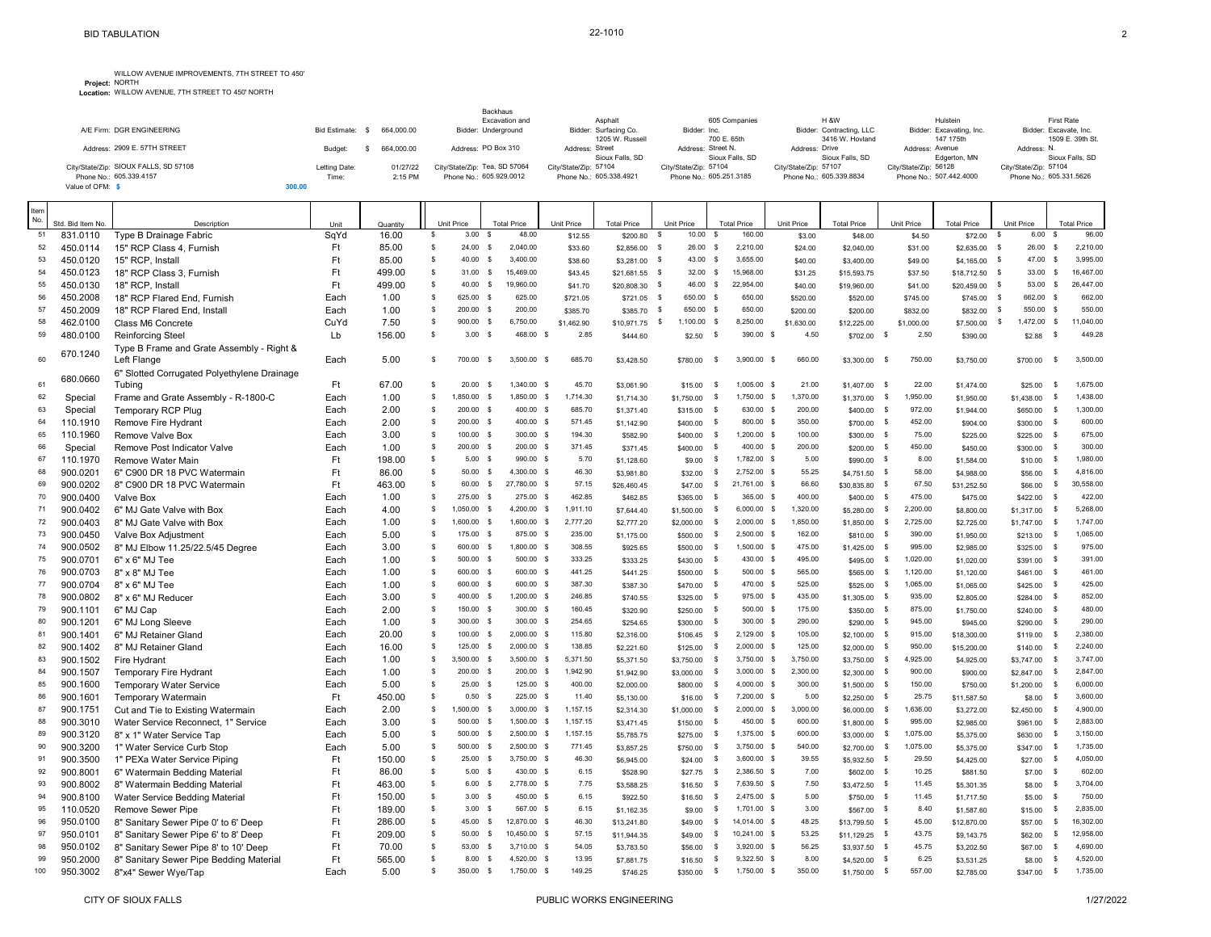**Project:** WILLOW AVENUE IMPROVEMENTS, 7TH STREET TO 450' NORTH **Location:** WILLOW AVENUE, 7TH STREET TO 450' NORTH

|                                            |                             | Backhaus<br>Excavation and    | Asphalt                                  | 605 Companies                         | <b>H &amp;W</b>                             | Hulstein                              | First Rate                                 |
|--------------------------------------------|-----------------------------|-------------------------------|------------------------------------------|---------------------------------------|---------------------------------------------|---------------------------------------|--------------------------------------------|
| A/F Firm: DGR ENGINEERING                  | 664.000.00<br>Bid Estimate: | Bidder: Underground           | Bidder: Surfacing Co.<br>1205 W. Russell | Bidder: Inc.<br>700 E. 65th           | Bidder: Contracting, LLC<br>3416 W. Hovland | Bidder: Excavating, Inc.<br>147 175th | Bidder: Excavate, Inc.<br>1509 E. 39th St. |
| Address: 2909 E. 57TH STREET               | 664.000.00<br>Budget        | Address: PO Box 310           | Address: Street<br>Sioux Falls, SD       | Address: Street N.<br>Sioux Falls, SD | Address: Drive<br>Sioux Falls, SD           | Address: Avenue<br>Edgerton, MN       | Address: N.<br>Sioux Falls, SD             |
| City/State/Zip: SIOUX FALLS, SD 57108      | Letting Date:<br>01/27/22   | City/State/Zip: Tea, SD 57064 | City/State/Zip: 57104                    | City/State/Zip: 57104                 | City/State/Zip: 57107                       | City/State/Zip: 56128                 | City/State/Zip: 57104                      |
| Phone No.: 605.339.4157<br>Value of OFM: S | 2:15 PM<br>Time:<br>300.00  | Phone No.: 605.929.0012       | Phone No.: 605.338.4921                  | Phone No.: 605.251.3185               | Phone No.: 605.339.8834                     | Phone No.: 507.442.4000               | Phone No.: 605.331.5626                    |

| Item<br>No. |                               |                                             |              |                   |    |                    |                                   |                              |                                |                             |                          |               |                      |                               |                          |                               |                    |                  |                             |
|-------------|-------------------------------|---------------------------------------------|--------------|-------------------|----|--------------------|-----------------------------------|------------------------------|--------------------------------|-----------------------------|--------------------------|---------------|----------------------|-------------------------------|--------------------------|-------------------------------|--------------------|------------------|-----------------------------|
| 51          | Std. Bid Item No.<br>831.0110 | Description<br>Type B Drainage Fabric       | Unit<br>SqYd | Quantity<br>16.00 | \$ | Unit Price<br>3.00 | <b>Total Price</b><br>48.00<br>-S | Unit Price<br>\$12.55        | <b>Total Price</b><br>\$200.80 | Unit Price<br>10.00<br>- \$ | <b>Total Price</b><br>-S | 160.00        | Unit Price<br>\$3.00 | <b>Total Price</b><br>\$48.00 | Unit Price<br>\$4.50     | <b>Total Price</b><br>\$72.00 | Unit Price<br>- \$ | 6.00             | <b>Total Price</b><br>96.00 |
| 52          | 450.0114                      | 15" RCP Class 4, Furnish                    | Ft           | 85.00             | s. | 24.00              | s<br>2,040.00                     |                              |                                | 26.00 \$<br>- \$            |                          | 2,210.00      |                      |                               |                          | \$2,635.00                    | - S                | 26.00            | 2,210.00<br><b>S</b>        |
| 53          | 450.0120                      | 15" RCP, Install                            | Ft           | 85.00             | s. | 40.00              | 3,400.00<br>- S                   | \$33.60<br>\$38.60           | \$2,856.00<br>\$3,281.00       | 43.00<br>- \$               | s                        | 3,655.00      | \$24.00<br>\$40.00   | \$2,040.00<br>\$3,400.00      | \$31.00<br>\$49.00       | \$4,165.00                    | s                  | 47.00            | 3,995.00<br><b>S</b>        |
| 54          | 450.0123                      | 18" RCP Class 3, Furnish                    | Ft           | 499.00            | \$ | 31.00              | 15,469.00<br>\$                   | \$43.45                      | $$21,681.55$ \$                | $32.00$ \$                  |                          | 15,968.00     |                      |                               |                          | \$18,712.50                   | <b>S</b>           | 33.00            | 16,467.00<br>\$             |
| 55          | 450.0130                      | 18" RCP. Install                            | <b>Ft</b>    | 499.00            | s. | 40.00              | <b>S</b><br>19,960.00             | \$41.70                      | \$20,808.30                    | 46.00<br>$\mathbf{s}$       | $\mathsf{s}$             | 22,954.00     | \$31.25<br>\$40.00   | \$15,593.75<br>\$19,960.00    | \$37.50<br>\$41.00       | \$20,459.00                   | <b>S</b>           | 53.00            | 26,447.00<br>-S             |
| 56          | 450.2008                      | 18" RCP Flared End, Furnish                 | Each         | 1.00              | s  | 625.00             | 625.00<br>\$                      | \$721.05                     | \$721.05                       | 650.00 \$<br>ၭ              |                          | 650.00        | \$520.00             | \$520.00                      | \$745.00                 | \$745.00                      | - \$               | 662.00<br>- S    | 662.00                      |
| 57          | 450.2009                      | 18" RCP Flared End, Install                 | Each         | 1.00              | s  | 200.00             | \$<br>200.00                      | \$385.70                     | \$385.70                       | 650.00 \$<br>్              |                          | 650.00        | \$200.00             | \$200.00                      | \$832.00                 | \$832.00                      | - \$               | 550.00           | 550.00<br>-S                |
| 58          | 462.0100                      | Class M6 Concrete                           | CuYd         | 7.50              | s  | 900.00             | 6,750.00<br>- S                   | \$1,462.90                   | \$10,971.75                    | $1,100.00$ \$<br>\$         |                          | 8,250.00      | \$1,630.00           | \$12,225.00                   | \$1,000.00               | \$7,500.00                    | - \$               | 1,472.00         | 11,040.00<br>\$             |
| 59          | 480.0100                      | Reinforcing Steel                           | Lb           | 156.00            | s. | 3.00               | 468.00<br>- \$                    | 2.85                         | \$444.60                       | \$2.50                      | \$                       | 390.00 \$     | 4.50                 | \$702.00                      | 2.50<br>$\mathbb{S}$     | \$390.00                      |                    | \$2.88           | 449.28                      |
|             |                               | Type B Frame and Grate Assembly - Right &   |              |                   |    |                    |                                   |                              |                                |                             |                          |               |                      |                               |                          |                               |                    |                  |                             |
| 60          | 670.1240                      | Left Flange                                 | Each         | 5.00              | s  | 700.00             | <b>S</b><br>3.500.00              | 685.70<br>$\mathbf{s}$       | \$3,428.50                     | \$780.00                    | <b>S</b>                 | 3,900.00 \$   | 660.00               | \$3,300.00                    | 750.00<br>s              | \$3,750.00                    |                    | \$700.00         | 3,500.00<br>\$              |
|             |                               | 6" Slotted Corrugated Polyethylene Drainage |              |                   |    |                    |                                   |                              |                                |                             |                          |               |                      |                               |                          |                               |                    |                  |                             |
| 61          | 680.0660                      | Tubing                                      | Ft           | 67.00             | s. | 20.00              | 1,340.00<br>- S                   | 45.70<br>-S                  | \$3,061.90                     | \$15.00                     | - S                      | 1,005.00 \$   | 21.00                | \$1,407.00                    | $\mathbb{S}$<br>22.00    | \$1,474.00                    |                    | \$25.00          | 1,675.00<br>-S              |
| 62          | Special                       | Frame and Grate Assembly - R-1800-C         | Each         | 1.00              | \$ | 1,850.00           | 1,850.00 \$<br>s                  | 1,714.30                     | \$1,714.30                     | \$1,750.00                  | <b>S</b>                 | 1,750.00 \$   | 1,370.00             | \$1,370.00                    | 1,950.00<br>\$           | \$1,950.00                    |                    | \$1,438.00       | 1,438.00<br><b>S</b>        |
| 63          | Special                       | <b>Temporary RCP Plug</b>                   | Each         | 2.00              | s  | 200.00             | 400.00<br>- \$                    | 685.70<br>\$                 | \$1,371.40                     | \$315.00                    | \$                       | 630.00 \$     | 200.00               | \$400.00                      | 972.00<br>- S            | \$1,944.00                    |                    | \$650.00         | 1,300.00<br>-S              |
| 64          | 110.1910                      | Remove Fire Hydrant                         | Each         | 2.00              | s  | 200.00             | 400.00 \$<br>- \$                 | 571.45                       | \$1,142.90                     | \$400.00                    | - \$                     | 800.00 \$     | 350.00               | \$700.00                      | 452.00<br><b>S</b>       | \$904.00                      |                    | \$300.00         | 600.00<br>- S               |
| 65          | 110.1960                      | Remove Valve Box                            | Each         | 3.00              | s  | 100.00 \$          | 300.00 \$                         | 194.30                       | \$582.90                       | \$400.00                    | s                        | 1,200.00 \$   | 100.00               | \$300.00                      | 75.00<br>$\mathsf{s}$    | \$225.00                      |                    | \$225.00<br>- S  | 675.00                      |
| 66          | Special                       | Remove Post Indicator Valve                 | Each         | 1.00              | s  | 200.00             | \$<br>200.00                      | 371.45<br>$\mathbf{s}$       | \$371.45                       | \$400.00                    | \$                       | 400.00 \$     | 200.00               | \$200.00                      | 450.00<br>s              | \$450.00                      |                    | \$300.00         | 300.00<br>s                 |
| 67          | 110.1970                      | Remove Water Main                           | Ft           | 198.00            | \$ | 5.00               | 990.00 \$<br>\$                   | 5.70                         | \$1,128.60                     | \$9.00                      | - S                      | 1,782.00 \$   | 5.00                 | \$990.00                      | 8.00<br>- \$             | \$1,584.00                    |                    | \$10.00          | 1,980.00<br>-\$             |
| 68          | 900.0201                      | 6" C900 DR 18 PVC Watermain                 | Ft           | 86.00             | \$ | 50.00              | 4,300.00 \$<br>s                  | 46.30                        | \$3,981.80                     | \$32.00                     | -S                       | 2,752.00 \$   | 55.25                | \$4,751.50                    | 58.00<br>\$              | \$4,988.00                    |                    | \$56.00          | 4,816.00<br><b>S</b>        |
| 69          | 900.0202                      | 8" C900 DR 18 PVC Watermain                 | Ft           | 463.00            | s. | 60.00              | $\mathbf{s}$<br>27,780.00 \$      | 57.15                        | \$26,460.45                    | \$47.00                     | \$                       | 21.761.00 \$  | 66.60                | \$30,835.80                   | 67.50<br>$\mathbb{S}$    | \$31,252.50                   |                    | \$66.00          | 30,558.00<br>\$             |
| 70          | 900.0400                      | Valve Box                                   | Each         | 1.00              | s  | 275.00             | \$<br>275.00                      | 462.85<br>\$                 | \$462.85                       | \$365.00                    | - S                      | 365.00 \$     | 400.00               | \$400.00                      | 475.00<br>- S            | \$475.00                      |                    | \$422.00         | 422.00<br>-S                |
| 71          | 900.0402                      | 6" MJ Gate Valve with Box                   | Each         | 4.00              | s. | 1.050.00           | $\mathbf{s}$<br>4.200.00          | 1,911.10<br>$\mathbf{s}$     | \$7,644.40                     | \$1,500.00                  | - S                      | $6,000.00$ \$ | 1,320.00             | \$5,280.00                    | 2,200.00<br>\$           | \$8,800.00                    |                    | \$1,317.00       | 5,268.00<br>-\$             |
| 72          | 900.0403                      | 8" MJ Gate Valve with Box                   | Each         | 1.00              | s. | 1,600.00           | <b>S</b><br>1,600.00 \$           | 2,777.20                     | \$2,777,20                     | \$2,000.00                  | <b>S</b>                 | $2,000.00$ \$ | 1,850.00             | \$1,850.00                    | \$<br>2,725.00           | \$2,725.00                    |                    | \$1,747.00       | 1,747.00<br><b>S</b>        |
| 73          | 900.0450                      | Valve Box Adjustment                        | Each         | 5.00              | s  | 175.00 \$          | 875.00 \$                         | 235.00                       | \$1,175.00                     | \$500.00                    | - S                      | 2,500.00 \$   | 162.00               | \$810.00                      | 390.00<br>- S            | \$1,950.00                    |                    | \$213.00         | 1,065.00<br>-S              |
| 74          | 900.0502                      | 8" MJ Elbow 11.25/22.5/45 Degree            | Each         | 3.00              | s  | 600.00             | <b>S</b><br>1,800.00              | - S<br>308.55                | \$925.65                       | \$500.00                    | s                        | 1,500.00 \$   | 475.00               | \$1,425.00                    | 995.00<br>s              | \$2,985.00                    |                    | \$325.00<br>- S  | 975.00                      |
| 75          | 900.0701                      | 6" x 6" MJ Tee                              | Each         | 1.00              | s  | 500.00             | $\mathbf{s}$<br>500.00 \$         | 333.25                       | \$333.25                       | \$430.00                    | \$                       | 430.00 \$     | 495.00               | \$495.00                      | 1,020.00<br>- \$         | \$1,020.00                    |                    | \$391.00         | 391.00<br>- S               |
| 76          | 900.0703                      | 8" x 8" MJ Tee                              | Each         | 1.00              | s  | 600.00 \$          | 600.00 \$                         | 441.25                       | \$441.25                       | \$500.00                    | \$                       | 500.00 \$     | 565.00               | \$565.00                      | \$<br>1,120.00           | \$1,120.00                    |                    | \$461.00         | 461.00<br>-S                |
| 77          | 900.0704                      | 8" x 6" MJ Tee                              | Each         | 1.00              | s  | 600.00             | 600.00<br>$\mathbf{\hat{S}}$      | 387.30<br>$\mathbf{\hat{S}}$ | \$387.30                       | \$470.00                    | $\mathbf s$              | 470.00 \$     | 525.00               | \$525.00                      | 1,065.00<br>\$           | \$1,065.00                    |                    | \$425.00<br>- S  | 425.00                      |
| 78          | 900.0802                      | 8" x 6" MJ Reducer                          | Each         | 3.00              | s  | 400.00 \$          | 1,200.00 \$                       | 246.85                       | \$740.55                       | \$325.00                    | \$                       | 975.00 \$     | 435.00               | \$1,305.00                    | 935.00<br>s              | \$2,805.00                    |                    | \$284.00<br>- S  | 852.00                      |
| 79          | 900.1101                      | 6" MJ Cap                                   | Each         | 2.00              | s  | 150.00             | 300.00<br>\$                      | 160.45<br>$\mathbf{s}$       | \$320.90                       | \$250.00                    | - \$                     | 500.00 \$     | 175.00               | \$350.00                      | 875.00<br>- S            | \$1,750.00                    |                    | \$240.00         | 480.00<br>-S                |
| 80          | 900.1201                      | 6" MJ Long Sleeve                           | Each         | 1.00              | s  | 300.00             | $\mathbf{s}$<br>300.00            | - S<br>254.65                | \$254.65                       | \$300.00                    | \$                       | 300.00 \$     | 290.00               | \$290.00                      | 945.00<br>s              | \$945.00                      |                    | \$290.00         | 290.00<br>- S               |
| 81          | 900.1401                      | 6" MJ Retainer Gland                        | Each         | 20.00             | s  | 100.00             | 2,000.00 \$<br>s                  | 115.80                       | \$2,316.00                     | \$106.45                    | - S                      | 2,129.00 \$   | 105.00               | \$2,100.00                    | 915.00<br>s              | \$18,300.00                   |                    | \$119.00         | 2,380.00<br>-\$             |
| 82          | 900.1402                      | 8" MJ Retainer Gland                        | Each         | 16.00             | s  | 125.00             | 2,000.00<br>- S                   | 138.85<br>$\mathbf{s}$       | \$2,221.60                     | \$125.00                    | -S                       | $2,000.00$ \$ | 125.00               | \$2,000.00                    | 950.00<br>s              | \$15,200.00                   |                    | \$140.00<br>- \$ | 2,240.00                    |
| 83          | 900.1502                      | Fire Hydrant                                | Each         | 1.00              | \$ | 3,500.00           | $3,500.00$ \$<br><b>S</b>         | 5,371.50                     | \$5,371.50                     | \$3,750.00                  | s                        | 3,750.00 \$   | 3,750.00             | \$3,750.00                    | 4,925.00<br>- \$         | \$4,925.00                    |                    | \$3,747.00       | 3,747.00<br>-\$             |
| 84          | 900.1507                      | <b>Temporary Fire Hydrant</b>               | Each         | 1.00              | s  | 200.00             | $\mathbb{S}$<br>200.00 \$         | 1,942.90                     | \$1,942.90                     | \$3,000.00                  | -S                       | $3,000.00$ \$ | 2,300.00             | \$2,300.00                    | 900.00<br>- S            | \$900.00                      |                    | \$2,847.00       | 2,847.00<br>-S              |
| 85          | 900.1600                      | <b>Temporary Water Service</b>              | Each         | 5.00              | \$ | 25.00              | 125.00 \$<br>- \$                 | 400.00                       | \$2,000.00                     | \$800.00                    | - S                      | 4,000.00 \$   | 300.00               | \$1,500.00                    | 150.00<br><b>S</b>       | \$750.00                      |                    | \$1,200.00       | 6,000.00<br>-\$             |
| 86          | 900.1601                      | <b>Temporary Watermain</b>                  | Ft           | 450.00            | s. | 0.50               | 225.00 \$<br>$\mathbf{s}$         | 11.40                        | \$5,130.00                     | \$16.00                     | -S                       | 7,200.00 \$   | 5.00                 | \$2,250.00                    | 25.75<br>$\mathbb{S}$    | \$11,587.50                   |                    | \$8.00           | 3,600.00<br>$\mathbf{s}$    |
| 87          | 900.1751                      | Cut and Tie to Existing Watermain           | Each         | 2.00              | s. | 1,500.00           | 3,000.00<br>- S                   | 1,157.15<br>s                | \$2,314.30                     | \$1,000.00                  | -S                       | $2,000.00$ \$ | 3,000.00             | \$6,000.00                    | 1,636.00<br>$\mathbb{S}$ | \$3,272.00                    |                    | \$2,450.00       | 4,900.00<br><b>S</b>        |
| 88          | 900.3010                      | Water Service Reconnect, 1" Service         | Each         | 3.00              | s  | 500.00             | s<br>1,500.00                     | 1,157.15<br><b>S</b>         | \$3,471.45                     | \$150.00                    | \$                       | 450.00 \$     | 600.00               | \$1,800.00                    | 995.00<br>- S            | \$2,985.00                    |                    | \$961.00         | 2,883.00<br>-\$             |
| 89          | 900.3120                      | 8" x 1" Water Service Tap                   | Each         | 5.00              | s  | 500.00             | $2,500.00$ \$<br>s                | 1,157.15                     | \$5,785.75                     | \$275.00                    | <b>S</b>                 | 1,375.00 \$   | 600.00               | \$3,000.00                    | 1,075.00<br>\$           | \$5,375.00                    |                    | \$630.00         | 3,150.00<br><b>S</b>        |
| 90          | 900.3200                      | 1" Water Service Curb Stop                  | Each         | 5.00              | s  | 500.00             | s<br>$2.500.00$ \$                | 771.45                       | \$3,857.25                     | \$750.00                    | <b>S</b>                 | 3.750.00 \$   | 540.00               | \$2,700.00                    | 1,075.00<br>$\mathsf{S}$ | \$5,375.00                    |                    | \$347.00         | 1,735.00<br>\$              |
| 91          | 900.3500                      | 1" PEXa Water Service Piping                | Ft           | 150.00            | s. | 25.00              | 3,750.00 \$<br>s                  | 46.30                        | \$6,945.00                     | \$24.00                     | - S                      | 3,600.00 \$   | 39.55                | \$5,932.50                    | $\mathbb{S}$<br>29.50    | \$4,425.00                    |                    | \$27.00          | 4,050.00<br>-S              |
| 92          | 900.8001                      | 6" Watermain Bedding Material               | Ft           | 86.00             | s. | 5.00               | \$<br>430.00                      | 6.15<br>- S                  | \$528.90                       | \$27.75                     | - S                      | 2,386.50 \$   | 7.00                 | \$602.00                      | 10.25<br>\$              | \$881.50                      |                    | \$7.00           | 602.00<br>-S                |
| 93          | 900.8002                      | 8" Watermain Bedding Material               | Ft           | 463.00            | s. | 6.00               | s<br>2,778.00 \$                  | 7.75                         | \$3,588.25                     | \$16.50                     | s                        | 7,639.50 \$   | 7.50                 | \$3,472.50                    | $\mathbb{S}$<br>11.45    | \$5,301.35                    |                    | \$8.00           | 3,704.00<br><b>S</b>        |
| 94          | 900.8100                      | Water Service Bedding Material              | Ft           | 150.00            | s. | $3.00$ \$          | 450.00 \$                         | 6.15                         | \$922.50                       | \$16.50                     | - S                      | 2,475.00 \$   | 5.00                 | \$750.00                      | 11.45<br>$\mathbb{S}$    | \$1,717.50                    |                    | \$5.00           | 750.00<br>-S                |
| 95          | 110.0520                      | Remove Sewer Pipe                           | Ft           | 189.00            | s. | 3.00               | - \$<br>567.00                    | 6.15<br><b>S</b>             | \$1,162.35                     | \$9.00                      | <b>S</b>                 | 1.701.00 \$   | 3.00                 | \$567.00                      | 8.40<br>$\mathbb{S}$     | \$1,587.60                    |                    | \$15.00          | 2,835.00<br><b>S</b>        |
| 96          | 950.0100                      | 8" Sanitary Sewer Pipe 0' to 6' Deep        | Ft           | 286.00            | \$ | 45.00 \$           | 12,870.00 \$                      | 46.30                        | \$13,241.80                    | \$49.00                     | \$                       | 14,014.00 \$  | 48.25                | \$13,799.50                   | 45.00<br>- \$            | \$12,870.00                   |                    | \$57.00          | 16,302.00<br>\$             |
| 97          | 950.0101                      | 8" Sanitary Sewer Pipe 6' to 8' Deep        | Ft           | 209.00            | \$ | 50.00              | $\mathsf{S}$<br>10,450.00 \$      | 57.15                        | \$11,944.35                    | \$49.00                     | \$                       | 10,241.00 \$  | 53.25                | $$11,129.25$ \$               | 43.75                    | \$9,143.75                    |                    | \$62.00          | 12,958.00<br>\$             |
| 98          | 950.0102                      | 8" Sanitary Sewer Pipe 8' to 10' Deep       | Ft           | 70.00             | s. | 53.00              | <b>S</b><br>3.710.00 \$           | 54.05                        | \$3,783.50                     | \$56.00                     | <b>S</b>                 | 3.920.00 \$   | 56.25                | $$3.937.50$ \$                | 45.75                    | \$3,202.50                    |                    | \$67.00          | 4.690.00<br>-S              |
| 99          | 950.2000                      | 8" Sanitary Sewer Pipe Bedding Material     | Ft           | 565.00            | \$ | 8.00               | s<br>4,520.00                     | 13.95                        | \$7,881.75                     | \$16.50                     | s                        | $9,322.50$ \$ | 8.00                 | \$4,520.00                    | 6.25<br>$\mathbb{S}$     | \$3,531.25                    |                    | \$8.00           | 4,520.00<br><b>S</b>        |
| 100         | 950.3002                      | 8"x4" Sewer Wye/Tap                         | Each         | 5.00              | s  | 350.00             | 1,750.00<br>s                     | 149.25<br>- \$               | \$746.25                       | \$350.00                    | ్                        | 1,750.00 \$   | 350.00               | \$1,750.00                    | 557.00<br>- S            | \$2,785.00                    |                    | \$347.00         | 1,735.00<br>- \$            |